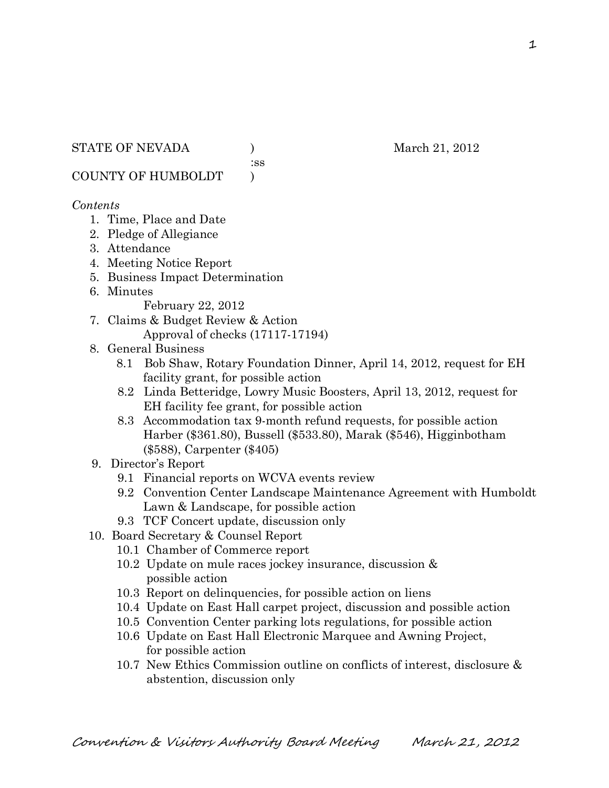:ss

COUNTY OF HUMBOLDT )

#### *Contents*

- 1. Time, Place and Date
- 2. Pledge of Allegiance
- 3. Attendance
- 4. Meeting Notice Report
- 5. Business Impact Determination
- 6. Minutes

February 22, 2012

- 7. Claims & Budget Review & Action Approval of checks (17117-17194)
- 8. General Business
	- 8.1 Bob Shaw, Rotary Foundation Dinner, April 14, 2012, request for EH facility grant, for possible action
	- 8.2 Linda Betteridge, Lowry Music Boosters, April 13, 2012, request for EH facility fee grant, for possible action
	- 8.3 Accommodation tax 9-month refund requests, for possible action Harber (\$361.80), Bussell (\$533.80), Marak (\$546), Higginbotham (\$588), Carpenter (\$405)
- 9. Director's Report
	- 9.1 Financial reports on WCVA events review
	- 9.2 Convention Center Landscape Maintenance Agreement with Humboldt Lawn & Landscape, for possible action
	- 9.3 TCF Concert update, discussion only
- 10. Board Secretary & Counsel Report
	- 10.1 Chamber of Commerce report
	- 10.2 Update on mule races jockey insurance, discussion & possible action
	- 10.3 Report on delinquencies, for possible action on liens
	- 10.4 Update on East Hall carpet project, discussion and possible action
	- 10.5 Convention Center parking lots regulations, for possible action
	- 10.6 Update on East Hall Electronic Marquee and Awning Project, for possible action
	- 10.7 New Ethics Commission outline on conflicts of interest, disclosure & abstention, discussion only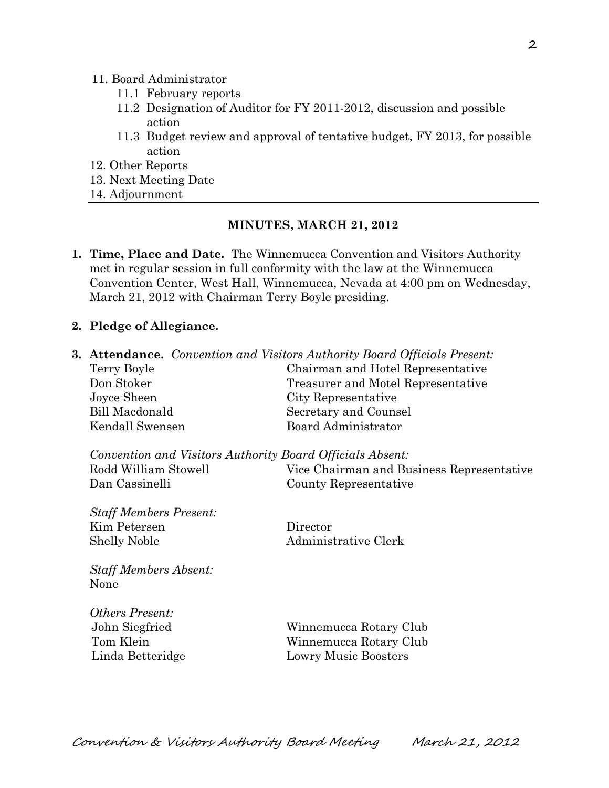#### 11. Board Administrator

- 11.1 February reports
- 11.2 Designation of Auditor for FY 2011-2012, discussion and possible action
- 11.3 Budget review and approval of tentative budget, FY 2013, for possible action
- 12. Other Reports
- 13. Next Meeting Date
- 14. Adjournment

#### **MINUTES, MARCH 21, 2012**

- **1. Time, Place and Date.** The Winnemucca Convention and Visitors Authority met in regular session in full conformity with the law at the Winnemucca Convention Center, West Hall, Winnemucca, Nevada at 4:00 pm on Wednesday, March 21, 2012 with Chairman Terry Boyle presiding.
- **2. Pledge of Allegiance.**

| <b>3. Attendance.</b> Convention and Visitors Authority Board Officials Present: |                                           |  |
|----------------------------------------------------------------------------------|-------------------------------------------|--|
| Terry Boyle                                                                      | Chairman and Hotel Representative         |  |
| Don Stoker                                                                       | Treasurer and Motel Representative        |  |
| Joyce Sheen                                                                      | City Representative                       |  |
| <b>Bill Macdonald</b>                                                            | Secretary and Counsel                     |  |
| Kendall Swensen                                                                  | Board Administrator                       |  |
| Convention and Visitors Authority Board Officials Absent:                        |                                           |  |
| Rodd William Stowell                                                             | Vice Chairman and Business Representative |  |
| Dan Cassinelli                                                                   | County Representative                     |  |
| <b>Staff Members Present:</b>                                                    |                                           |  |
| Kim Petersen                                                                     | Director                                  |  |
| <b>Shelly Noble</b>                                                              | Administrative Clerk                      |  |
| <b>Staff Members Absent:</b><br>None                                             |                                           |  |
| <b>Others Present:</b>                                                           |                                           |  |
| John Siegfried                                                                   | Winnemucca Rotary Club                    |  |
| Tom Klein                                                                        | Winnemucca Rotary Club                    |  |
| Linda Betteridge                                                                 | <b>Lowry Music Boosters</b>               |  |
|                                                                                  |                                           |  |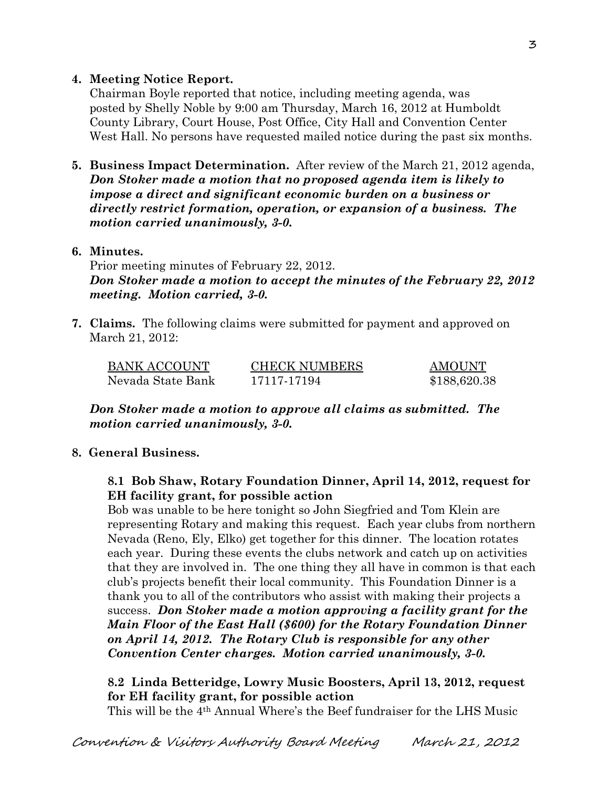### **4. Meeting Notice Report.**

Chairman Boyle reported that notice, including meeting agenda, was posted by Shelly Noble by 9:00 am Thursday, March 16, 2012 at Humboldt County Library, Court House, Post Office, City Hall and Convention Center West Hall. No persons have requested mailed notice during the past six months.

**5. Business Impact Determination.** After review of the March 21, 2012 agenda, *Don Stoker made a motion that no proposed agenda item is likely to impose a direct and significant economic burden on a business or directly restrict formation, operation, or expansion of a business. The motion carried unanimously, 3-0.*

#### **6. Minutes.**

Prior meeting minutes of February 22, 2012. *Don Stoker made a motion to accept the minutes of the February 22, 2012 meeting. Motion carried, 3-0.* 

**7. Claims.** The following claims were submitted for payment and approved on March 21, 2012:

| <b>BANK ACCOUNT</b> | <b>CHECK NUMBERS</b> | AMOUNT       |
|---------------------|----------------------|--------------|
| Nevada State Bank   | 17117-17194          | \$188,620.38 |

*Don Stoker made a motion to approve all claims as submitted. The motion carried unanimously, 3-0.*

# **8. General Business.**

#### **8.1 Bob Shaw, Rotary Foundation Dinner, April 14, 2012, request for EH facility grant, for possible action**

Bob was unable to be here tonight so John Siegfried and Tom Klein are representing Rotary and making this request. Each year clubs from northern Nevada (Reno, Ely, Elko) get together for this dinner. The location rotates each year. During these events the clubs network and catch up on activities that they are involved in. The one thing they all have in common is that each club's projects benefit their local community. This Foundation Dinner is a thank you to all of the contributors who assist with making their projects a success. *Don Stoker made a motion approving a facility grant for the Main Floor of the East Hall (\$600) for the Rotary Foundation Dinner on April 14, 2012. The Rotary Club is responsible for any other Convention Center charges. Motion carried unanimously, 3-0.* 

#### **8.2 Linda Betteridge, Lowry Music Boosters, April 13, 2012, request for EH facility grant, for possible action**

This will be the 4th Annual Where's the Beef fundraiser for the LHS Music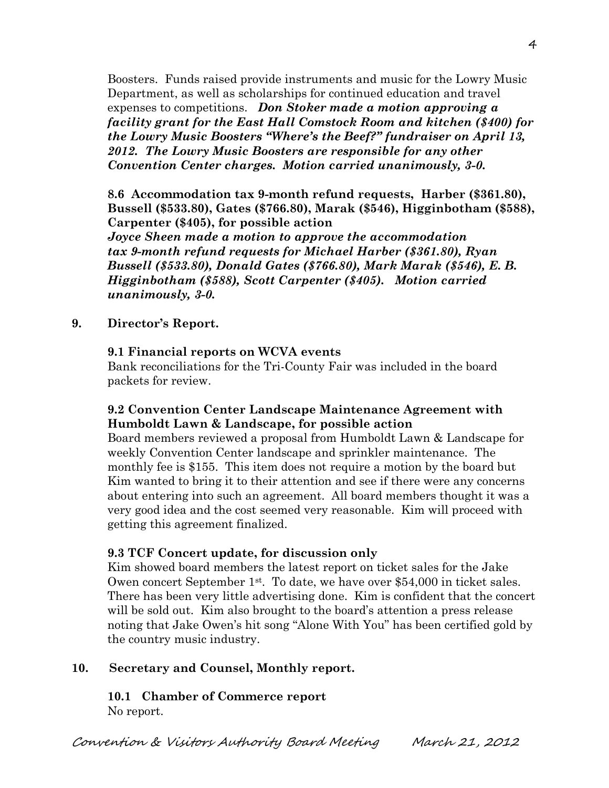Boosters. Funds raised provide instruments and music for the Lowry Music Department, as well as scholarships for continued education and travel expenses to competitions. *Don Stoker made a motion approving a facility grant for the East Hall Comstock Room and kitchen (\$400) for the Lowry Music Boosters "Where's the Beef?" fundraiser on April 13, 2012. The Lowry Music Boosters are responsible for any other Convention Center charges. Motion carried unanimously, 3-0.* 

**8.6 Accommodation tax 9-month refund requests, Harber (\$361.80), Bussell (\$533.80), Gates (\$766.80), Marak (\$546), Higginbotham (\$588), Carpenter (\$405), for possible action**

*Joyce Sheen made a motion to approve the accommodation tax 9-month refund requests for Michael Harber (\$361.80), Ryan Bussell (\$533.80), Donald Gates (\$766.80), Mark Marak (\$546), E. B. Higginbotham (\$588), Scott Carpenter (\$405). Motion carried unanimously, 3-0.*

**9. Director's Report.**

#### **9.1 Financial reports on WCVA events**

Bank reconciliations for the Tri-County Fair was included in the board packets for review.

#### **9.2 Convention Center Landscape Maintenance Agreement with Humboldt Lawn & Landscape, for possible action**

Board members reviewed a proposal from Humboldt Lawn & Landscape for weekly Convention Center landscape and sprinkler maintenance. The monthly fee is \$155. This item does not require a motion by the board but Kim wanted to bring it to their attention and see if there were any concerns about entering into such an agreement. All board members thought it was a very good idea and the cost seemed very reasonable. Kim will proceed with getting this agreement finalized.

#### **9.3 TCF Concert update, for discussion only**

Kim showed board members the latest report on ticket sales for the Jake Owen concert September  $1<sup>st</sup>$ . To date, we have over \$54,000 in ticket sales. There has been very little advertising done. Kim is confident that the concert will be sold out. Kim also brought to the board's attention a press release noting that Jake Owen's hit song "Alone With You" has been certified gold by the country music industry.

#### **10. Secretary and Counsel, Monthly report.**

**10.1 Chamber of Commerce report** No report.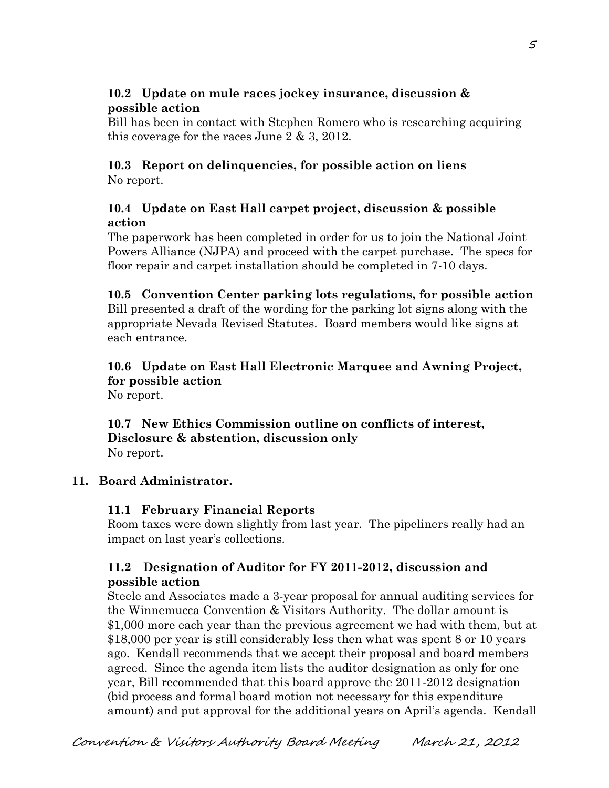# **10.2 Update on mule races jockey insurance, discussion & possible action**

Bill has been in contact with Stephen Romero who is researching acquiring this coverage for the races June 2 & 3, 2012.

#### **10.3 Report on delinquencies, for possible action on liens** No report.

### **10.4 Update on East Hall carpet project, discussion & possible action**

The paperwork has been completed in order for us to join the National Joint Powers Alliance (NJPA) and proceed with the carpet purchase. The specs for floor repair and carpet installation should be completed in 7-10 days.

# **10.5 Convention Center parking lots regulations, for possible action**

Bill presented a draft of the wording for the parking lot signs along with the appropriate Nevada Revised Statutes. Board members would like signs at each entrance.

# **10.6 Update on East Hall Electronic Marquee and Awning Project, for possible action**

No report.

#### **10.7 New Ethics Commission outline on conflicts of interest, Disclosure & abstention, discussion only** No report.

# **11. Board Administrator.**

# **11.1 February Financial Reports**

Room taxes were down slightly from last year. The pipeliners really had an impact on last year's collections.

# **11.2 Designation of Auditor for FY 2011-2012, discussion and possible action**

Steele and Associates made a 3-year proposal for annual auditing services for the Winnemucca Convention & Visitors Authority. The dollar amount is \$1,000 more each year than the previous agreement we had with them, but at \$18,000 per year is still considerably less then what was spent 8 or 10 years ago. Kendall recommends that we accept their proposal and board members agreed. Since the agenda item lists the auditor designation as only for one year, Bill recommended that this board approve the 2011-2012 designation (bid process and formal board motion not necessary for this expenditure amount) and put approval for the additional years on April's agenda. Kendall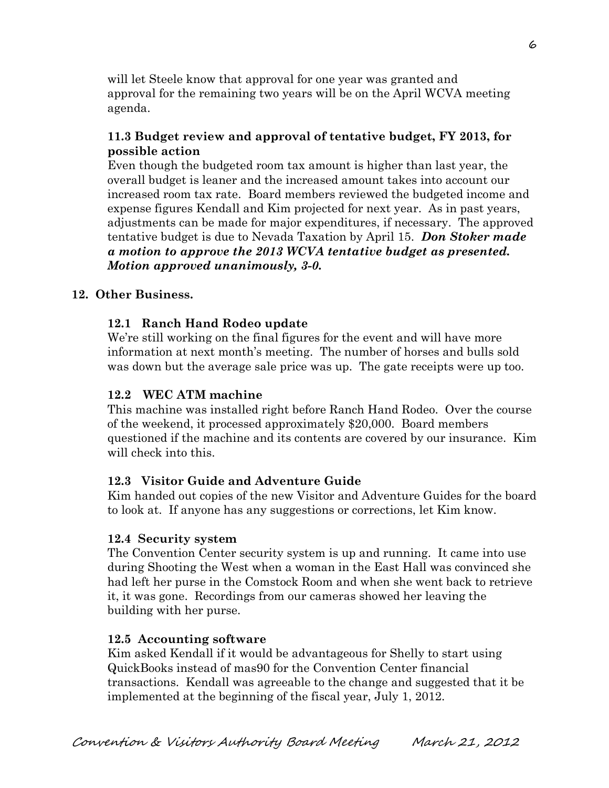will let Steele know that approval for one year was granted and approval for the remaining two years will be on the April WCVA meeting agenda.

### **11.3 Budget review and approval of tentative budget, FY 2013, for possible action**

Even though the budgeted room tax amount is higher than last year, the overall budget is leaner and the increased amount takes into account our increased room tax rate. Board members reviewed the budgeted income and expense figures Kendall and Kim projected for next year. As in past years, adjustments can be made for major expenditures, if necessary. The approved tentative budget is due to Nevada Taxation by April 15. *Don Stoker made a motion to approve the 2013 WCVA tentative budget as presented. Motion approved unanimously, 3-0.* 

# **12. Other Business.**

# **12.1 Ranch Hand Rodeo update**

We're still working on the final figures for the event and will have more information at next month's meeting. The number of horses and bulls sold was down but the average sale price was up. The gate receipts were up too.

# **12.2 WEC ATM machine**

This machine was installed right before Ranch Hand Rodeo. Over the course of the weekend, it processed approximately \$20,000. Board members questioned if the machine and its contents are covered by our insurance. Kim will check into this.

# **12.3 Visitor Guide and Adventure Guide**

Kim handed out copies of the new Visitor and Adventure Guides for the board to look at. If anyone has any suggestions or corrections, let Kim know.

# **12.4 Security system**

The Convention Center security system is up and running. It came into use during Shooting the West when a woman in the East Hall was convinced she had left her purse in the Comstock Room and when she went back to retrieve it, it was gone. Recordings from our cameras showed her leaving the building with her purse.

# **12.5 Accounting software**

Kim asked Kendall if it would be advantageous for Shelly to start using QuickBooks instead of mas90 for the Convention Center financial transactions. Kendall was agreeable to the change and suggested that it be implemented at the beginning of the fiscal year, July 1, 2012.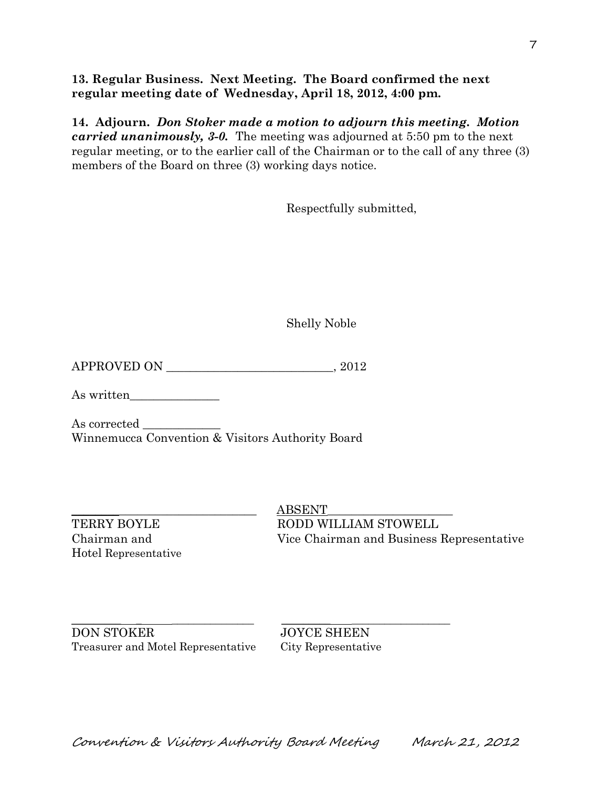**13. Regular Business. Next Meeting. The Board confirmed the next regular meeting date of Wednesday, April 18, 2012, 4:00 pm.** 

**14. Adjourn.** *Don Stoker made a motion to adjourn this meeting. Motion carried unanimously, 3-0.* The meeting was adjourned at 5:50 pm to the next regular meeting, or to the earlier call of the Chairman or to the call of any three (3) members of the Board on three (3) working days notice.

Respectfully submitted,

Shelly Noble

APPROVED ON \_\_\_\_\_\_\_\_\_\_\_\_\_\_\_\_\_\_\_\_\_\_\_\_\_\_\_\_, 2012

As written\_\_\_\_\_\_\_\_\_\_\_\_\_\_\_

As corrected Winnemucca Convention & Visitors Authority Board

Hotel Representative

 $\operatorname{ABSENT}$ TERRY BOYLE RODD WILLIAM STOWELL Chairman and Vice Chairman and Business Representative

\_\_\_\_\_\_\_\_\_ \_ \_\_\_\_\_\_\_\_\_\_\_\_\_\_\_ \_\_\_\_\_\_\_\_\_ \_\_\_\_\_\_\_\_\_\_\_\_\_\_\_\_\_\_ DON STOKER JOYCE SHEEN Treasurer and Motel Representative City Representative